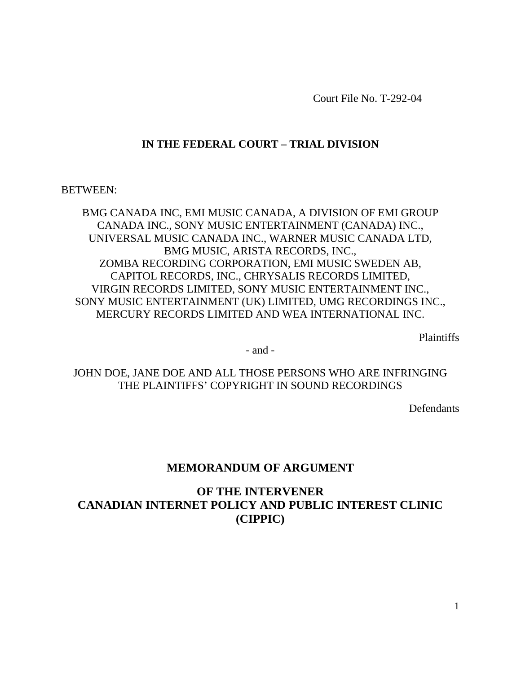Court File No. T-292-04

# **IN THE FEDERAL COURT – TRIAL DIVISION**

BETWEEN:

BMG CANADA INC, EMI MUSIC CANADA, A DIVISION OF EMI GROUP CANADA INC., SONY MUSIC ENTERTAINMENT (CANADA) INC., UNIVERSAL MUSIC CANADA INC., WARNER MUSIC CANADA LTD, BMG MUSIC, ARISTA RECORDS, INC., ZOMBA RECORDING CORPORATION, EMI MUSIC SWEDEN AB, CAPITOL RECORDS, INC., CHRYSALIS RECORDS LIMITED, VIRGIN RECORDS LIMITED, SONY MUSIC ENTERTAINMENT INC., SONY MUSIC ENTERTAINMENT (UK) LIMITED, UMG RECORDINGS INC., MERCURY RECORDS LIMITED AND WEA INTERNATIONAL INC.

Plaintiffs

- and -

JOHN DOE, JANE DOE AND ALL THOSE PERSONS WHO ARE INFRINGING THE PLAINTIFFS' COPYRIGHT IN SOUND RECORDINGS

**Defendants** 

# **MEMORANDUM OF ARGUMENT**

# **OF THE INTERVENER CANADIAN INTERNET POLICY AND PUBLIC INTEREST CLINIC (CIPPIC)**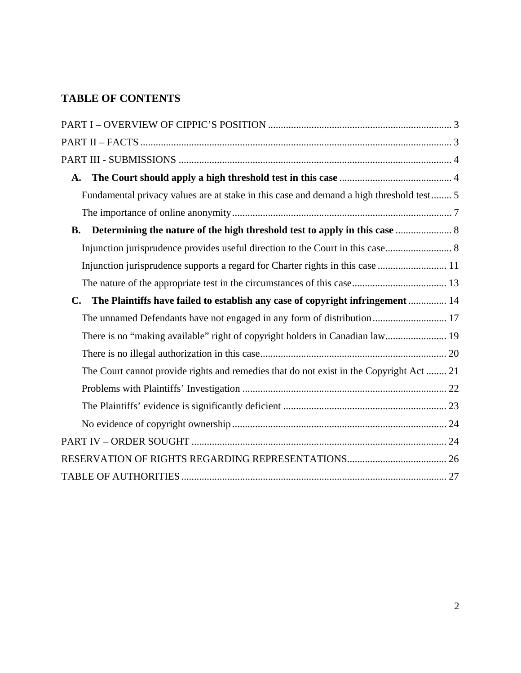# **TABLE OF CONTENTS**

| A.                                                                                               |
|--------------------------------------------------------------------------------------------------|
| Fundamental privacy values are at stake in this case and demand a high threshold test 5          |
|                                                                                                  |
| <b>B.</b>                                                                                        |
| Injunction jurisprudence provides useful direction to the Court in this case 8                   |
| Injunction jurisprudence supports a regard for Charter rights in this case  11                   |
|                                                                                                  |
| The Plaintiffs have failed to establish any case of copyright infringement  14<br>$\mathbf{C}$ . |
| The unnamed Defendants have not engaged in any form of distribution 17                           |
| There is no "making available" right of copyright holders in Canadian law 19                     |
|                                                                                                  |
| The Court cannot provide rights and remedies that do not exist in the Copyright Act  21          |
|                                                                                                  |
|                                                                                                  |
|                                                                                                  |
|                                                                                                  |
|                                                                                                  |
|                                                                                                  |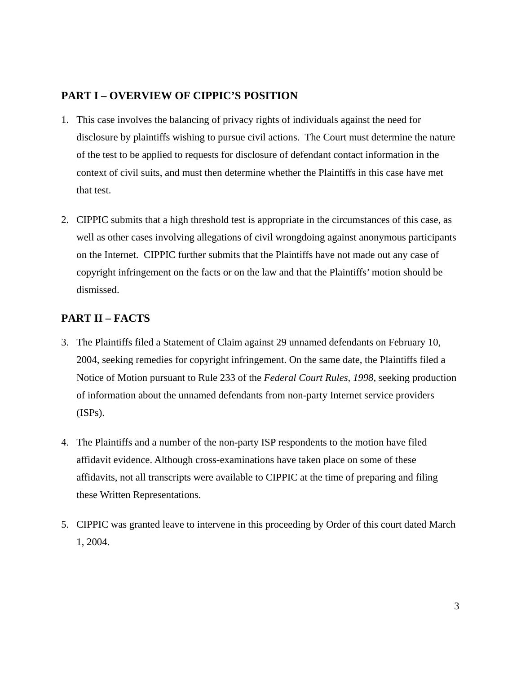# <span id="page-2-0"></span>**PART I – OVERVIEW OF CIPPIC'S POSITION**

- 1. This case involves the balancing of privacy rights of individuals against the need for disclosure by plaintiffs wishing to pursue civil actions. The Court must determine the nature of the test to be applied to requests for disclosure of defendant contact information in the context of civil suits, and must then determine whether the Plaintiffs in this case have met that test.
- 2. CIPPIC submits that a high threshold test is appropriate in the circumstances of this case, as well as other cases involving allegations of civil wrongdoing against anonymous participants on the Internet. CIPPIC further submits that the Plaintiffs have not made out any case of copyright infringement on the facts or on the law and that the Plaintiffs' motion should be dismissed.

# **PART II – FACTS**

- 3. The Plaintiffs filed a Statement of Claim against 29 unnamed defendants on February 10, 2004, seeking remedies for copyright infringement. On the same date, the Plaintiffs filed a Notice of Motion pursuant to Rule 233 of the *Federal Court Rules, 1998,* seeking production of information about the unnamed defendants from non-party Internet service providers (ISPs).
- 4. The Plaintiffs and a number of the non-party ISP respondents to the motion have filed affidavit evidence. Although cross-examinations have taken place on some of these affidavits, not all transcripts were available to CIPPIC at the time of preparing and filing these Written Representations.
- 5. CIPPIC was granted leave to intervene in this proceeding by Order of this court dated March 1, 2004.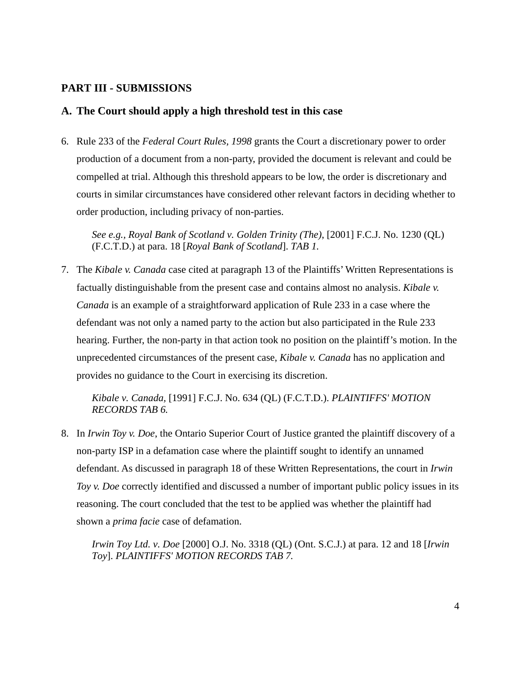### <span id="page-3-0"></span>**PART III - SUBMISSIONS**

### **A. The Court should apply a high threshold test in this case**

6. Rule 233 of the *Federal Court Rules, 1998* grants the Court a discretionary power to order production of a document from a non-party, provided the document is relevant and could be compelled at trial. Although this threshold appears to be low, the order is discretionary and courts in similar circumstances have considered other relevant factors in deciding whether to order production, including privacy of non-parties.

*See e.g., Royal Bank of Scotland v. Golden Trinity (The)*, [2001] F.C.J. No. 1230 (QL) (F.C.T.D.) at para. 18 [*Royal Bank of Scotland*]. *TAB 1.*

7. The *Kibale v. Canada* case cited at paragraph 13 of the Plaintiffs' Written Representations is factually distinguishable from the present case and contains almost no analysis. *Kibale v. Canada* is an example of a straightforward application of Rule 233 in a case where the defendant was not only a named party to the action but also participated in the Rule 233 hearing. Further, the non-party in that action took no position on the plaintiff's motion. In the unprecedented circumstances of the present case, *Kibale v. Canada* has no application and provides no guidance to the Court in exercising its discretion.

*Kibale v. Canada,* [1991] F.C.J. No. 634 (QL) (F.C.T.D.). *PLAINTIFFS' MOTION RECORDS TAB 6.*

8. In *Irwin Toy v. Doe*, the Ontario Superior Court of Justice granted the plaintiff discovery of a non-party ISP in a defamation case where the plaintiff sought to identify an unnamed defendant. As discussed in paragraph 18 of these Written Representations, the court in *Irwin Toy v. Doe* correctly identified and discussed a number of important public policy issues in its reasoning. The court concluded that the test to be applied was whether the plaintiff had shown a *prima facie* case of defamation.

*Irwin Toy Ltd. v. Doe* [2000] O.J. No. 3318 (QL) (Ont. S.C.J.) at para. 12 and 18 [*Irwin Toy*]. *PLAINTIFFS' MOTION RECORDS TAB 7.*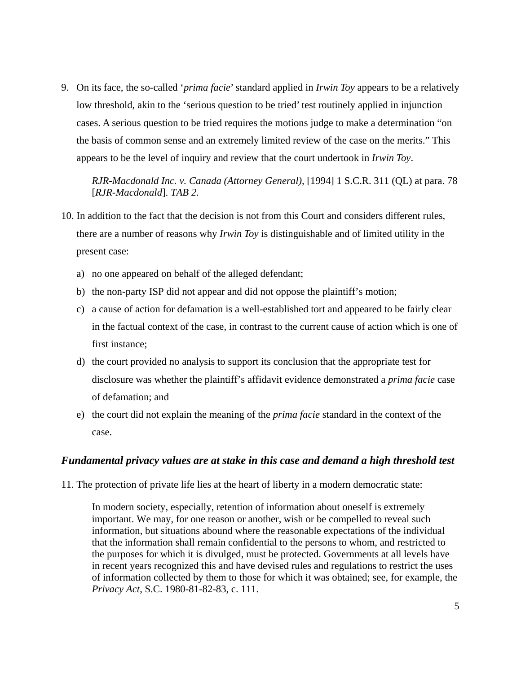<span id="page-4-0"></span>9. On its face, the so-called '*prima facie*' standard applied in *Irwin Toy* appears to be a relatively low threshold, akin to the 'serious question to be tried' test routinely applied in injunction cases. A serious question to be tried requires the motions judge to make a determination "on the basis of common sense and an extremely limited review of the case on the merits." This appears to be the level of inquiry and review that the court undertook in *Irwin Toy*.

*RJR-Macdonald Inc. v. Canada (Attorney General)*, [1994] 1 S.C.R. 311 (QL) at para. 78 [*RJR-Macdonald*]. *TAB 2.*

- 10. In addition to the fact that the decision is not from this Court and considers different rules, there are a number of reasons why *Irwin Toy* is distinguishable and of limited utility in the present case:
	- a) no one appeared on behalf of the alleged defendant;
	- b) the non-party ISP did not appear and did not oppose the plaintiff's motion;
	- c) a cause of action for defamation is a well-established tort and appeared to be fairly clear in the factual context of the case, in contrast to the current cause of action which is one of first instance;
	- d) the court provided no analysis to support its conclusion that the appropriate test for disclosure was whether the plaintiff's affidavit evidence demonstrated a *prima facie* case of defamation; and
	- e) the court did not explain the meaning of the *prima facie* standard in the context of the case.

#### *Fundamental privacy values are at stake in this case and demand a high threshold test*

11. The protection of private life lies at the heart of liberty in a modern democratic state:

In modern society, especially, retention of information about oneself is extremely important. We may, for one reason or another, wish or be compelled to reveal such information, but situations abound where the reasonable expectations of the individual that the information shall remain confidential to the persons to whom, and restricted to the purposes for which it is divulged, must be protected. Governments at all levels have in recent years recognized this and have devised rules and regulations to restrict the uses of information collected by them to those for which it was obtained; see, for example, the *Privacy Act*, S.C. 1980-81-82-83, c. 111.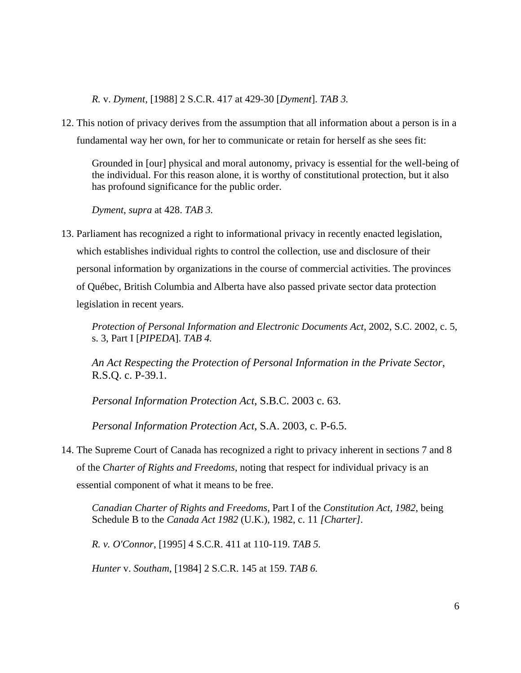*R.* v. *Dyment*, [1988] 2 S.C.R. 417 at 429-30 [*Dyment*]. *TAB 3.*

12. This notion of privacy derives from the assumption that all information about a person is in a fundamental way her own, for her to communicate or retain for herself as she sees fit:

Grounded in [our] physical and moral autonomy, privacy is essential for the well-being of the individual. For this reason alone, it is worthy of constitutional protection, but it also has profound significance for the public order.

*Dyment*, *supra* at 428. *TAB 3.*

13. Parliament has recognized a right to informational privacy in recently enacted legislation, which establishes individual rights to control the collection, use and disclosure of their personal information by organizations in the course of commercial activities. The provinces of Québec, British Columbia and Alberta have also passed private sector data protection legislation in recent years.

*Protection of Personal Information and Electronic Documents Act*, 2002, S.C. 2002, c. 5, s. 3, Part I [*PIPEDA*]. *TAB 4.* 

*An Act Respecting the Protection of Personal Information in the Private Sector*, R.S.Q. c. P-39.1.

*Personal Information Protection Act*, S.B.C. 2003 c. 63.

*Personal Information Protection Act*, S.A. 2003, c. P-6.5.

14. The Supreme Court of Canada has recognized a right to privacy inherent in sections 7 and 8 of the *Charter of Rights and Freedoms*, noting that respect for individual privacy is an essential component of what it means to be free.

*Canadian Charter of Rights and Freedoms,* Part I of the *Constitution Act, 1982*, being Schedule B to the *Canada Act 1982* (U.K.), 1982, c. 11 *[Charter].* 

*R. v. O'Connor*, [1995] 4 S.C.R. 411 at 110-119. *TAB 5.*

*Hunter* v. *Southam*, [1984] 2 S.C.R. 145 at 159. *TAB 6.*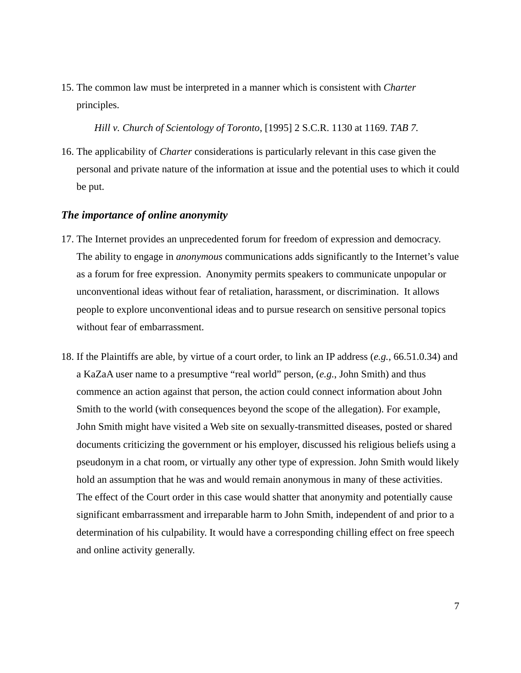<span id="page-6-0"></span>15. The common law must be interpreted in a manner which is consistent with *Charter* principles.

 *Hill v. Church of Scientology of Toronto*, [1995] 2 S.C.R. 1130 at 1169. *TAB 7.*

16. The applicability of *Charter* considerations is particularly relevant in this case given the personal and private nature of the information at issue and the potential uses to which it could be put.

#### *The importance of online anonymity*

- 17. The Internet provides an unprecedented forum for freedom of expression and democracy. The ability to engage in *anonymous* communications adds significantly to the Internet's value as a forum for free expression. Anonymity permits speakers to communicate unpopular or unconventional ideas without fear of retaliation, harassment, or discrimination. It allows people to explore unconventional ideas and to pursue research on sensitive personal topics without fear of embarrassment.
- 18. If the Plaintiffs are able, by virtue of a court order, to link an IP address (*e.g.,* 66.51.0.34) and a KaZaA user name to a presumptive "real world" person, (*e.g.*, John Smith) and thus commence an action against that person, the action could connect information about John Smith to the world (with consequences beyond the scope of the allegation). For example, John Smith might have visited a Web site on sexually-transmitted diseases, posted or shared documents criticizing the government or his employer, discussed his religious beliefs using a pseudonym in a chat room, or virtually any other type of expression. John Smith would likely hold an assumption that he was and would remain anonymous in many of these activities. The effect of the Court order in this case would shatter that anonymity and potentially cause significant embarrassment and irreparable harm to John Smith, independent of and prior to a determination of his culpability. It would have a corresponding chilling effect on free speech and online activity generally.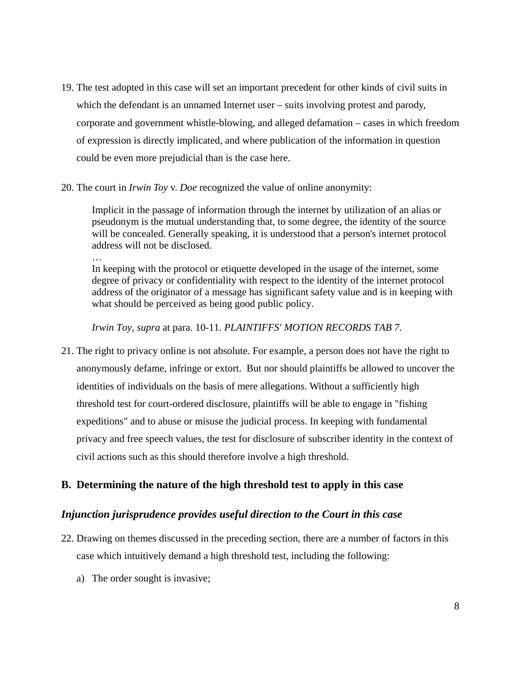- <span id="page-7-0"></span>19. The test adopted in this case will set an important precedent for other kinds of civil suits in which the defendant is an unnamed Internet user – suits involving protest and parody, corporate and government whistle-blowing, and alleged defamation – cases in which freedom of expression is directly implicated, and where publication of the information in question could be even more prejudicial than is the case here.
- 20. The court in *Irwin Toy* v. *Doe* recognized the value of online anonymity:

Implicit in the passage of information through the internet by utilization of an alias or pseudonym is the mutual understanding that, to some degree, the identity of the source will be concealed. Generally speaking, it is understood that a person's internet protocol address will not be disclosed.

… In keeping with the protocol or etiquette developed in the usage of the internet, some degree of privacy or confidentiality with respect to the identity of the internet protocol address of the originator of a message has significant safety value and is in keeping with what should be perceived as being good public policy.

*Irwin Toy, supra* at para. 10-11. *PLAINTIFFS' MOTION RECORDS TAB 7.*

21. The right to privacy online is not absolute. For example, a person does not have the right to anonymously defame, infringe or extort. But nor should plaintiffs be allowed to uncover the identities of individuals on the basis of mere allegations. Without a sufficiently high threshold test for court-ordered disclosure, plaintiffs will be able to engage in "fishing expeditions" and to abuse or misuse the judicial process. In keeping with fundamental privacy and free speech values, the test for disclosure of subscriber identity in the context of civil actions such as this should therefore involve a high threshold.

# **B. Determining the nature of the high threshold test to apply in this case**

### *Injunction jurisprudence provides useful direction to the Court in this case*

- 22. Drawing on themes discussed in the preceding section, there are a number of factors in this case which intuitively demand a high threshold test, including the following:
	- a) The order sought is invasive;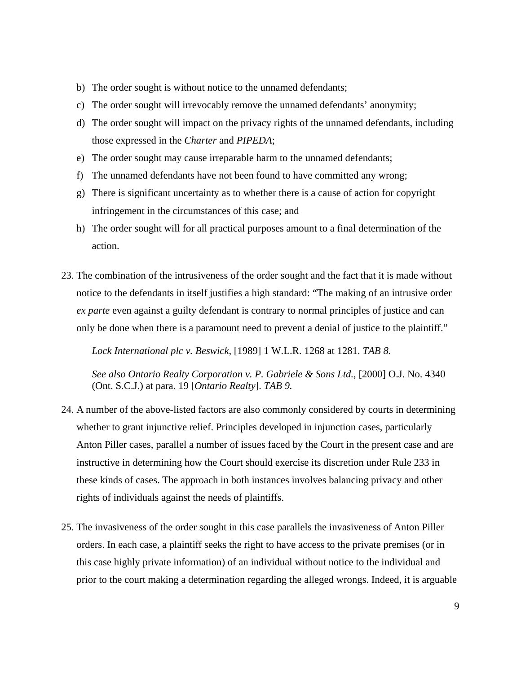- b) The order sought is without notice to the unnamed defendants;
- c) The order sought will irrevocably remove the unnamed defendants' anonymity;
- d) The order sought will impact on the privacy rights of the unnamed defendants, including those expressed in the *Charter* and *PIPEDA*;
- e) The order sought may cause irreparable harm to the unnamed defendants;
- f) The unnamed defendants have not been found to have committed any wrong;
- g) There is significant uncertainty as to whether there is a cause of action for copyright infringement in the circumstances of this case; and
- h) The order sought will for all practical purposes amount to a final determination of the action.
- 23. The combination of the intrusiveness of the order sought and the fact that it is made without notice to the defendants in itself justifies a high standard: "The making of an intrusive order *ex parte* even against a guilty defendant is contrary to normal principles of justice and can only be done when there is a paramount need to prevent a denial of justice to the plaintiff."

*Lock International plc v. Beswick*, [1989] 1 W.L.R. 1268 at 1281. *TAB 8.*

*See also Ontario Realty Corporation v. P. Gabriele & Sons Ltd.*, [2000] O.J. No. 4340 (Ont. S.C.J.) at para. 19 [*Ontario Realty*]. *TAB 9.* 

- 24. A number of the above-listed factors are also commonly considered by courts in determining whether to grant injunctive relief. Principles developed in injunction cases, particularly Anton Piller cases, parallel a number of issues faced by the Court in the present case and are instructive in determining how the Court should exercise its discretion under Rule 233 in these kinds of cases. The approach in both instances involves balancing privacy and other rights of individuals against the needs of plaintiffs.
- 25. The invasiveness of the order sought in this case parallels the invasiveness of Anton Piller orders. In each case, a plaintiff seeks the right to have access to the private premises (or in this case highly private information) of an individual without notice to the individual and prior to the court making a determination regarding the alleged wrongs. Indeed, it is arguable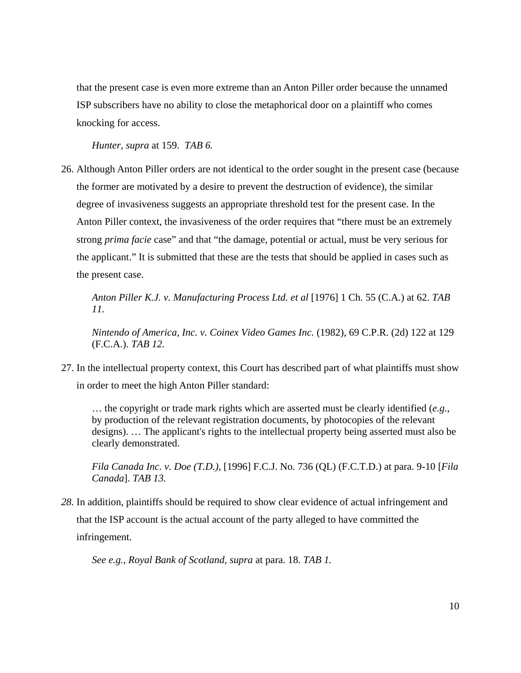that the present case is even more extreme than an Anton Piller order because the unnamed ISP subscribers have no ability to close the metaphorical door on a plaintiff who comes knocking for access.

*Hunter, supra* at 159. *TAB 6.*

26. Although Anton Piller orders are not identical to the order sought in the present case (because the former are motivated by a desire to prevent the destruction of evidence), the similar degree of invasiveness suggests an appropriate threshold test for the present case. In the Anton Piller context, the invasiveness of the order requires that "there must be an extremely strong *prima facie* case" and that "the damage, potential or actual, must be very serious for the applicant." It is submitted that these are the tests that should be applied in cases such as the present case.

*Anton Piller K.J. v. Manufacturing Process Ltd. et al* [1976] 1 Ch. 55 (C.A.) at 62. *TAB 11.*

*Nintendo of America, Inc. v. Coinex Video Games Inc.* (1982), 69 C.P.R. (2d) 122 at 129 (F.C.A.). *TAB 12.*

27. In the intellectual property context, this Court has described part of what plaintiffs must show in order to meet the high Anton Piller standard:

… the copyright or trade mark rights which are asserted must be clearly identified (*e.g.*, by production of the relevant registration documents, by photocopies of the relevant designs). … The applicant's rights to the intellectual property being asserted must also be clearly demonstrated.

*Fila Canada Inc. v. Doe (T.D.)*, [1996] F.C.J. No. 736 (QL) (F.C.T.D.) at para. 9-10 [*Fila Canada*]. *TAB 13.*

*28.* In addition, plaintiffs should be required to show clear evidence of actual infringement and that the ISP account is the actual account of the party alleged to have committed the infringement.

*See e.g., Royal Bank of Scotland, supra* at para. 18. *TAB 1.*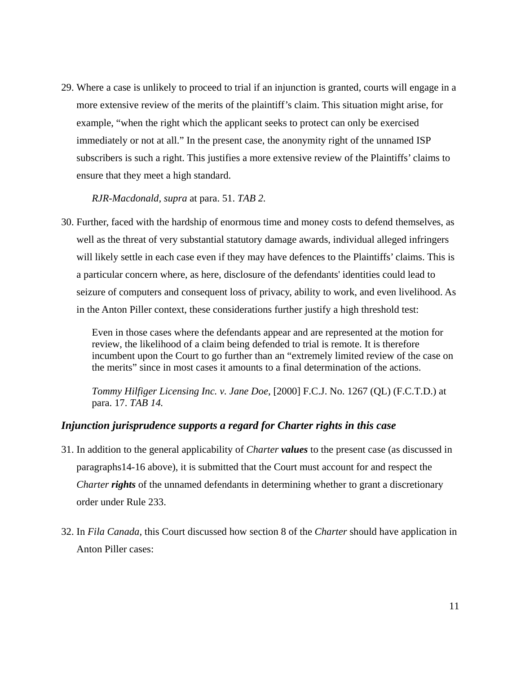<span id="page-10-0"></span>29. Where a case is unlikely to proceed to trial if an injunction is granted, courts will engage in a more extensive review of the merits of the plaintiff's claim. This situation might arise, for example, "when the right which the applicant seeks to protect can only be exercised immediately or not at all." In the present case, the anonymity right of the unnamed ISP subscribers is such a right. This justifies a more extensive review of the Plaintiffs' claims to ensure that they meet a high standard.

*RJR-Macdonald, supra* at para. 51. *TAB 2.*

30. Further, faced with the hardship of enormous time and money costs to defend themselves, as well as the threat of very substantial statutory damage awards, individual alleged infringers will likely settle in each case even if they may have defences to the Plaintiffs' claims. This is a particular concern where, as here, disclosure of the defendants' identities could lead to seizure of computers and consequent loss of privacy, ability to work, and even livelihood. As in the Anton Piller context, these considerations further justify a high threshold test:

Even in those cases where the defendants appear and are represented at the motion for review, the likelihood of a claim being defended to trial is remote. It is therefore incumbent upon the Court to go further than an "extremely limited review of the case on the merits" since in most cases it amounts to a final determination of the actions.

*Tommy Hilfiger Licensing Inc. v. Jane Doe*, [2000] F.C.J. No. 1267 (QL) (F.C.T.D.) at para. 17. *TAB 14.*

#### *Injunction jurisprudence supports a regard for Charter rights in this case*

- 31. In addition to the general applicability of *Charter values* to the present case (as discussed in paragraphs14-16 above), it is submitted that the Court must account for and respect the *Charter rights* of the unnamed defendants in determining whether to grant a discretionary order under Rule 233.
- 32. In *Fila Canada*, this Court discussed how section 8 of the *Charter* should have application in Anton Piller cases: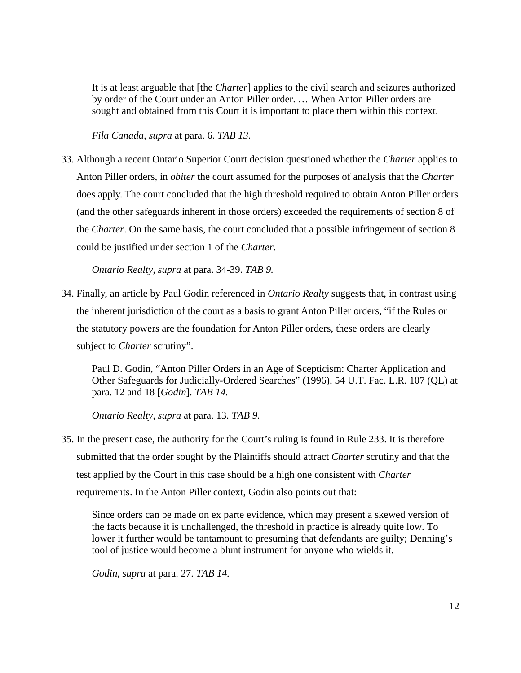It is at least arguable that [the *Charter*] applies to the civil search and seizures authorized by order of the Court under an Anton Piller order. … When Anton Piller orders are sought and obtained from this Court it is important to place them within this context.

*Fila Canada, supra* at para. 6. *TAB 13.*

33. Although a recent Ontario Superior Court decision questioned whether the *Charter* applies to Anton Piller orders, in *obiter* the court assumed for the purposes of analysis that the *Charter* does apply. The court concluded that the high threshold required to obtain Anton Piller orders (and the other safeguards inherent in those orders) exceeded the requirements of section 8 of the *Charter*. On the same basis, the court concluded that a possible infringement of section 8 could be justified under section 1 of the *Charter*.

*Ontario Realty, supra* at para. 34-39. *TAB 9.*

34. Finally, an article by Paul Godin referenced in *Ontario Realty* suggests that, in contrast using the inherent jurisdiction of the court as a basis to grant Anton Piller orders, "if the Rules or the statutory powers are the foundation for Anton Piller orders, these orders are clearly subject to *Charter* scrutiny".

Paul D. Godin, "Anton Piller Orders in an Age of Scepticism: Charter Application and Other Safeguards for Judicially-Ordered Searches" (1996), 54 U.T. Fac. L.R. 107 (QL) at para. 12 and 18 [*Godin*]. *TAB 14.*

*Ontario Realty, supra* at para. 13. *TAB 9.* 

35. In the present case, the authority for the Court's ruling is found in Rule 233. It is therefore submitted that the order sought by the Plaintiffs should attract *Charter* scrutiny and that the test applied by the Court in this case should be a high one consistent with *Charter* requirements. In the Anton Piller context, Godin also points out that:

Since orders can be made on ex parte evidence, which may present a skewed version of the facts because it is unchallenged, the threshold in practice is already quite low. To lower it further would be tantamount to presuming that defendants are guilty; Denning's tool of justice would become a blunt instrument for anyone who wields it.

*Godin, supra* at para. 27. *TAB 14.*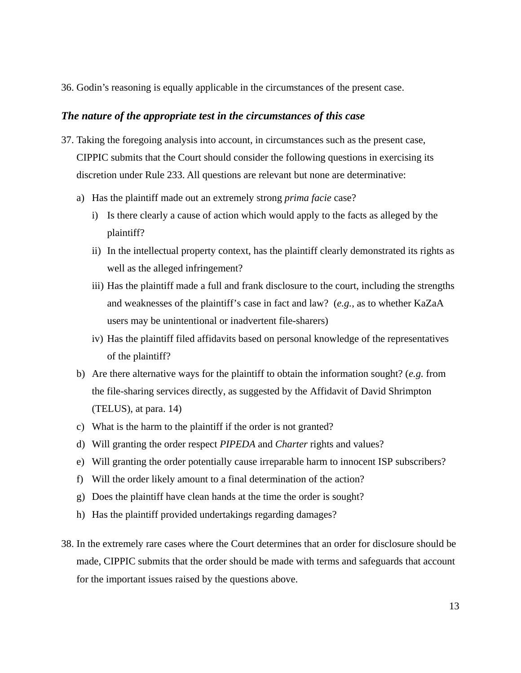<span id="page-12-0"></span>36. Godin's reasoning is equally applicable in the circumstances of the present case.

#### *The nature of the appropriate test in the circumstances of this case*

- 37. Taking the foregoing analysis into account, in circumstances such as the present case, CIPPIC submits that the Court should consider the following questions in exercising its discretion under Rule 233. All questions are relevant but none are determinative:
	- a) Has the plaintiff made out an extremely strong *prima facie* case?
		- i) Is there clearly a cause of action which would apply to the facts as alleged by the plaintiff?
		- ii) In the intellectual property context, has the plaintiff clearly demonstrated its rights as well as the alleged infringement?
		- iii) Has the plaintiff made a full and frank disclosure to the court, including the strengths and weaknesses of the plaintiff's case in fact and law? (*e.g.*, as to whether KaZaA users may be unintentional or inadvertent file-sharers)
		- iv) Has the plaintiff filed affidavits based on personal knowledge of the representatives of the plaintiff?
	- b) Are there alternative ways for the plaintiff to obtain the information sought? (*e.g.* from the file-sharing services directly, as suggested by the Affidavit of David Shrimpton (TELUS), at para. 14)
	- c) What is the harm to the plaintiff if the order is not granted?
	- d) Will granting the order respect *PIPEDA* and *Charter* rights and values?
	- e) Will granting the order potentially cause irreparable harm to innocent ISP subscribers?
	- f) Will the order likely amount to a final determination of the action?
	- g) Does the plaintiff have clean hands at the time the order is sought?
	- h) Has the plaintiff provided undertakings regarding damages?
- 38. In the extremely rare cases where the Court determines that an order for disclosure should be made, CIPPIC submits that the order should be made with terms and safeguards that account for the important issues raised by the questions above.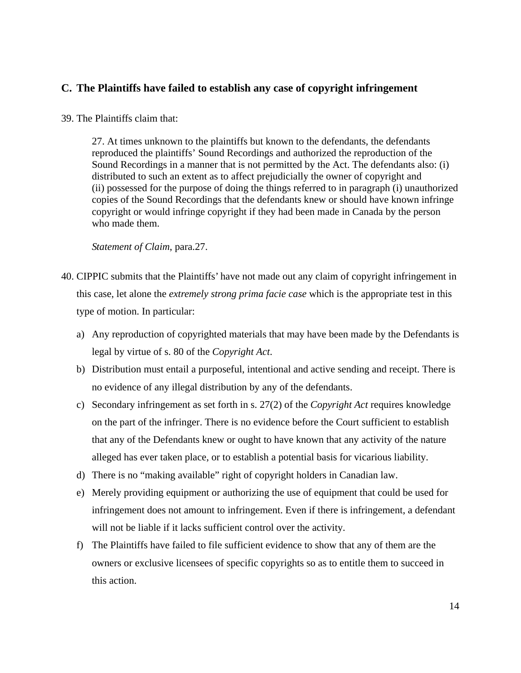## <span id="page-13-0"></span>**C. The Plaintiffs have failed to establish any case of copyright infringement**

#### 39. The Plaintiffs claim that:

27. At times unknown to the plaintiffs but known to the defendants, the defendants reproduced the plaintiffs' Sound Recordings and authorized the reproduction of the Sound Recordings in a manner that is not permitted by the Act. The defendants also: (i) distributed to such an extent as to affect prejudicially the owner of copyright and (ii) possessed for the purpose of doing the things referred to in paragraph (i) unauthorized copies of the Sound Recordings that the defendants knew or should have known infringe copyright or would infringe copyright if they had been made in Canada by the person who made them.

*Statement of Claim*, para.27.

- 40. CIPPIC submits that the Plaintiffs' have not made out any claim of copyright infringement in this case, let alone the *extremely strong prima facie case* which is the appropriate test in this type of motion. In particular:
	- a) Any reproduction of copyrighted materials that may have been made by the Defendants is legal by virtue of s. 80 of the *Copyright Act*.
	- b) Distribution must entail a purposeful, intentional and active sending and receipt. There is no evidence of any illegal distribution by any of the defendants.
	- c) Secondary infringement as set forth in s. 27(2) of the *Copyright Act* requires knowledge on the part of the infringer. There is no evidence before the Court sufficient to establish that any of the Defendants knew or ought to have known that any activity of the nature alleged has ever taken place, or to establish a potential basis for vicarious liability.
	- d) There is no "making available" right of copyright holders in Canadian law.
	- e) Merely providing equipment or authorizing the use of equipment that could be used for infringement does not amount to infringement. Even if there is infringement, a defendant will not be liable if it lacks sufficient control over the activity.
	- f) The Plaintiffs have failed to file sufficient evidence to show that any of them are the owners or exclusive licensees of specific copyrights so as to entitle them to succeed in this action.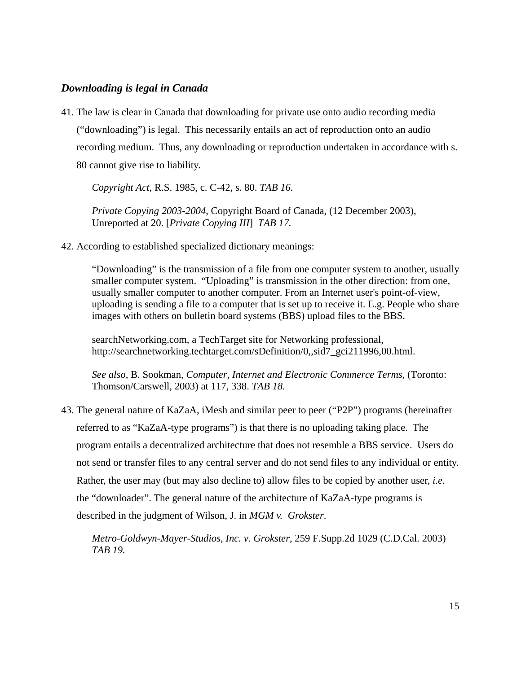### *Downloading is legal in Canada*

41. The law is clear in Canada that downloading for private use onto audio recording media ("downloading") is legal. This necessarily entails an act of reproduction onto an audio recording medium. Thus, any downloading or reproduction undertaken in accordance with s. 80 cannot give rise to liability.

*Copyright Act*, R.S. 1985, c. C-42, s. 80. *TAB 16.*

*Private Copying 2003-2004*, Copyright Board of Canada, (12 December 2003), Unreported at 20. [*Private Copying III*] *TAB 17.*

42. According to established specialized dictionary meanings:

"Downloading" is the transmission of a file from one computer system to another, usually smaller computer system. "Uploading" is transmission in the other direction: from one, usually smaller computer to another computer. From an Internet user's point-of-view, uploading is sending a file to a computer that is set up to receive it. E.g. People who share images with others on bulletin board systems (BBS) upload files to the BBS.

searchNetworking.com, a TechTarget site for Networking professional, http://searchnetworking.techtarget.com/sDefinition/0, sid7\_gci211996,00.html.

*See also*, B. Sookman, *Computer, Internet and Electronic Commerce Terms,* (Toronto: Thomson/Carswell, 2003) at 117, 338. *TAB 18.*

43. The general nature of KaZaA, iMesh and similar peer to peer ("P2P") programs (hereinafter referred to as "KaZaA-type programs") is that there is no uploading taking place. The program entails a decentralized architecture that does not resemble a BBS service. Users do not send or transfer files to any central server and do not send files to any individual or entity. Rather, the user may (but may also decline to) allow files to be copied by another user, *i.e.* the "downloader". The general nature of the architecture of KaZaA-type programs is described in the judgment of Wilson, J. in *MGM v. Grokster*.

*Metro-Goldwyn-Mayer-Studios, Inc. v. Grokster*, 259 F.Supp.2d 1029 (C.D.Cal. 2003) *TAB 19.*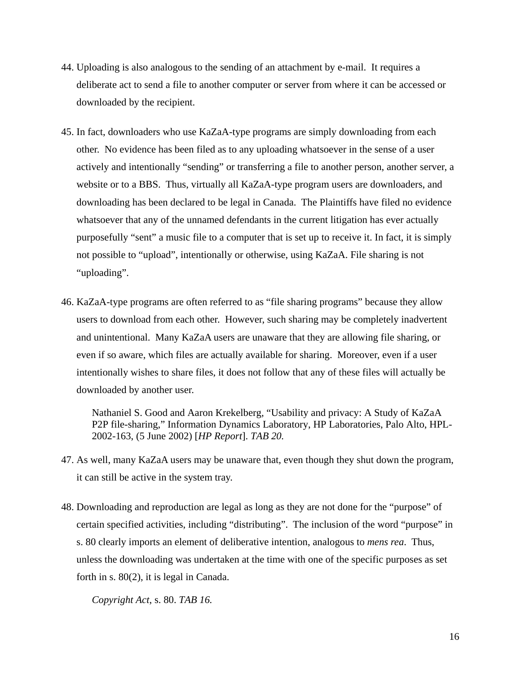- 44. Uploading is also analogous to the sending of an attachment by e-mail. It requires a deliberate act to send a file to another computer or server from where it can be accessed or downloaded by the recipient.
- 45. In fact, downloaders who use KaZaA-type programs are simply downloading from each other. No evidence has been filed as to any uploading whatsoever in the sense of a user actively and intentionally "sending" or transferring a file to another person, another server, a website or to a BBS. Thus, virtually all KaZaA-type program users are downloaders, and downloading has been declared to be legal in Canada. The Plaintiffs have filed no evidence whatsoever that any of the unnamed defendants in the current litigation has ever actually purposefully "sent" a music file to a computer that is set up to receive it. In fact, it is simply not possible to "upload", intentionally or otherwise, using KaZaA. File sharing is not "uploading".
- 46. KaZaA-type programs are often referred to as "file sharing programs" because they allow users to download from each other. However, such sharing may be completely inadvertent and unintentional. Many KaZaA users are unaware that they are allowing file sharing, or even if so aware, which files are actually available for sharing. Moreover, even if a user intentionally wishes to share files, it does not follow that any of these files will actually be downloaded by another user.

Nathaniel S. Good and Aaron Krekelberg, "Usability and privacy: A Study of KaZaA P2P file-sharing," Information Dynamics Laboratory, HP Laboratories, Palo Alto, HPL-2002-163, (5 June 2002) [*HP Report*]. *TAB 20.*

- 47. As well, many KaZaA users may be unaware that, even though they shut down the program, it can still be active in the system tray.
- 48. Downloading and reproduction are legal as long as they are not done for the "purpose" of certain specified activities, including "distributing". The inclusion of the word "purpose" in s. 80 clearly imports an element of deliberative intention, analogous to *mens rea*. Thus, unless the downloading was undertaken at the time with one of the specific purposes as set forth in s. 80(2), it is legal in Canada.

*Copyright Act*, s. 80. *TAB 16.*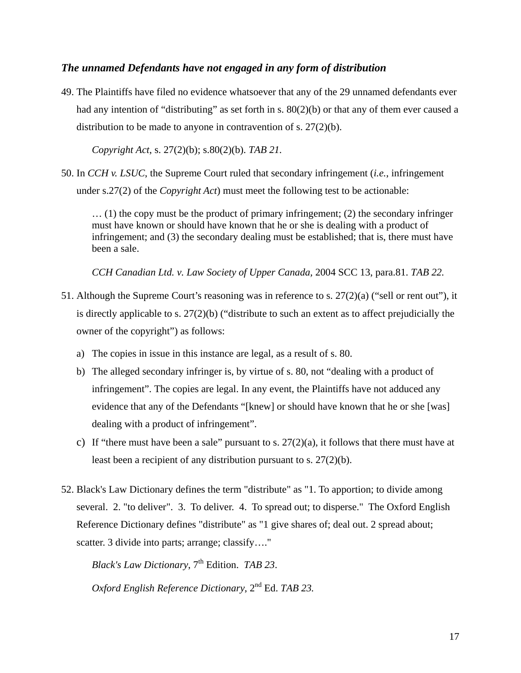### <span id="page-16-0"></span>*The unnamed Defendants have not engaged in any form of distribution*

49. The Plaintiffs have filed no evidence whatsoever that any of the 29 unnamed defendants ever had any intention of "distributing" as set forth in s.  $80(2)(b)$  or that any of them ever caused a distribution to be made to anyone in contravention of s. 27(2)(b).

*Copyright Act*, s. 27(2)(b); s.80(2)(b). *TAB 21.*

50. In *CCH v. LSUC*, the Supreme Court ruled that secondary infringement (*i.e.*, infringement under s.27(2) of the *Copyright Act*) must meet the following test to be actionable:

… (1) the copy must be the product of primary infringement; (2) the secondary infringer must have known or should have known that he or she is dealing with a product of infringement; and (3) the secondary dealing must be established; that is, there must have been a sale.

*CCH Canadian Ltd. v. Law Society of Upper Canada,* 2004 SCC 13, para.81. *TAB 22.*

- 51. Although the Supreme Court's reasoning was in reference to s.  $27(2)(a)$  ("sell or rent out"), it is directly applicable to s. 27(2)(b) ("distribute to such an extent as to affect prejudicially the owner of the copyright") as follows:
	- a) The copies in issue in this instance are legal, as a result of s. 80.
	- b) The alleged secondary infringer is, by virtue of s. 80, not "dealing with a product of infringement". The copies are legal. In any event, the Plaintiffs have not adduced any evidence that any of the Defendants "[knew] or should have known that he or she [was] dealing with a product of infringement".
	- c) If "there must have been a sale" pursuant to s.  $27(2)(a)$ , it follows that there must have at least been a recipient of any distribution pursuant to s. 27(2)(b).
- 52. Black's Law Dictionary defines the term "distribute" as "1. To apportion; to divide among several. 2. "to deliver". 3. To deliver. 4. To spread out; to disperse." The Oxford English Reference Dictionary defines "distribute" as "1 give shares of; deal out. 2 spread about; scatter. 3 divide into parts; arrange; classify…."

*Black's Law Dictionary*, 7<sup>th</sup> Edition. *TAB 23*.

*Oxford English Reference Dictionary*, 2nd Ed. *TAB 23.*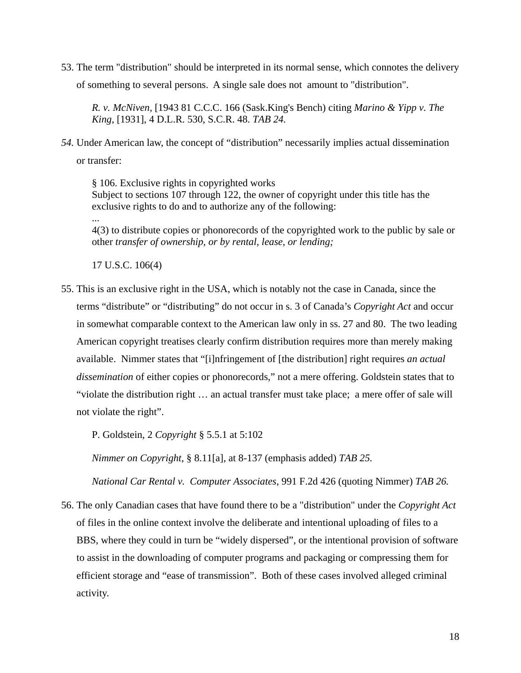53. The term "distribution" should be interpreted in its normal sense, which connotes the delivery of something to several persons. A single sale does not amount to "distribution".

*R. v. McNiven*, [1943 81 C.C.C. 166 (Sask.King's Bench) citing *Marino & Yipp v. The King*, [1931], 4 D.L.R. 530, S.C.R. 48. *TAB 24.* 

*54.* Under American law, the concept of "distribution" necessarily implies actual dissemination or transfer:

§ 106. Exclusive rights in copyrighted works Subject to sections 107 through 122, the owner of copyright under this title has the exclusive rights to do and to authorize any of the following:

4(3) to distribute copies or phonorecords of the copyrighted work to the public by sale or other *transfer of ownership, or by rental, lease, or lending;* 

17 U.S.C. 106(4)

...

55. This is an exclusive right in the USA, which is notably not the case in Canada, since the terms "distribute" or "distributing" do not occur in s. 3 of Canada's *Copyright Act* and occur in somewhat comparable context to the American law only in ss. 27 and 80. The two leading American copyright treatises clearly confirm distribution requires more than merely making available. Nimmer states that "[i]nfringement of [the distribution] right requires *an actual dissemination* of either copies or phonorecords," not a mere offering. Goldstein states that to "violate the distribution right … an actual transfer must take place; a mere offer of sale will not violate the right".

P. Goldstein, 2 *Copyright* § 5.5.1 at 5:102

*Nimmer on Copyright*, § 8.11[a], at 8-137 (emphasis added) *TAB 25.*

*National Car Rental v. Computer Associates*, 991 F.2d 426 (quoting Nimmer) *TAB 26.*

56. The only Canadian cases that have found there to be a "distribution" under the *Copyright Act*  of files in the online context involve the deliberate and intentional uploading of files to a BBS, where they could in turn be "widely dispersed", or the intentional provision of software to assist in the downloading of computer programs and packaging or compressing them for efficient storage and "ease of transmission". Both of these cases involved alleged criminal activity.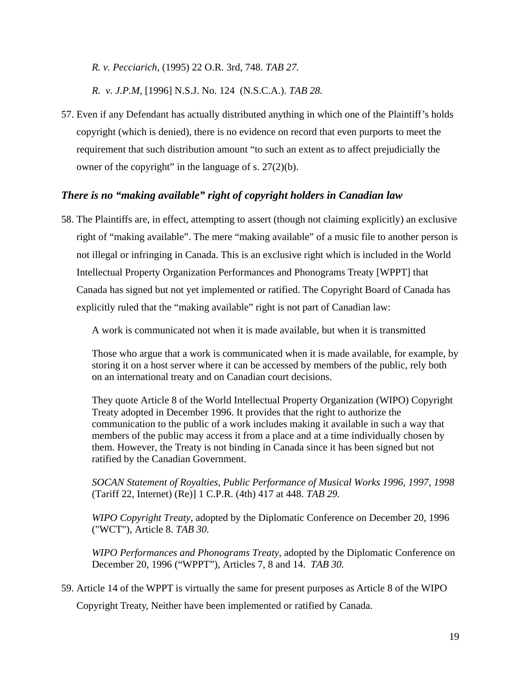<span id="page-18-0"></span>*R. v. Pecciarich,* (1995) 22 O.R. 3rd, 748. *TAB 27.* 

*R. v. J.P.M*, [1996] N.S.J. No. 124 (N.S.C.A.). *TAB 28.*

57. Even if any Defendant has actually distributed anything in which one of the Plaintiff's holds copyright (which is denied), there is no evidence on record that even purports to meet the requirement that such distribution amount "to such an extent as to affect prejudicially the owner of the copyright" in the language of s.  $27(2)(b)$ .

# *There is no "making available" right of copyright holders in Canadian law*

58. The Plaintiffs are, in effect, attempting to assert (though not claiming explicitly) an exclusive right of "making available". The mere "making available" of a music file to another person is not illegal or infringing in Canada. This is an exclusive right which is included in the World Intellectual Property Organization Performances and Phonograms Treaty [WPPT] that Canada has signed but not yet implemented or ratified. The Copyright Board of Canada has explicitly ruled that the "making available" right is not part of Canadian law:

A work is communicated not when it is made available, but when it is transmitted

Those who argue that a work is communicated when it is made available, for example, by storing it on a host server where it can be accessed by members of the public, rely both on an international treaty and on Canadian court decisions.

They quote Article 8 of the World Intellectual Property Organization (WIPO) Copyright Treaty adopted in December 1996. It provides that the right to authorize the communication to the public of a work includes making it available in such a way that members of the public may access it from a place and at a time individually chosen by them. However, the Treaty is not binding in Canada since it has been signed but not ratified by the Canadian Government.

*SOCAN Statement of Royalties, Public Performance of Musical Works 1996, 1997, 1998* (Tariff 22, Internet) (Re)] 1 C.P.R. (4th) 417 at 448. *TAB 29.* 

*WIPO Copyright Treaty*, adopted by the Diplomatic Conference on December 20, 1996 ("WCT"), Article 8. *TAB 30.*

*WIPO Performances and Phonograms Treaty*, adopted by the Diplomatic Conference on December 20, 1996 ("WPPT"), Articles 7, 8 and 14. *TAB 30.*

59. Article 14 of the WPPT is virtually the same for present purposes as Article 8 of the WIPO

Copyright Treaty, Neither have been implemented or ratified by Canada.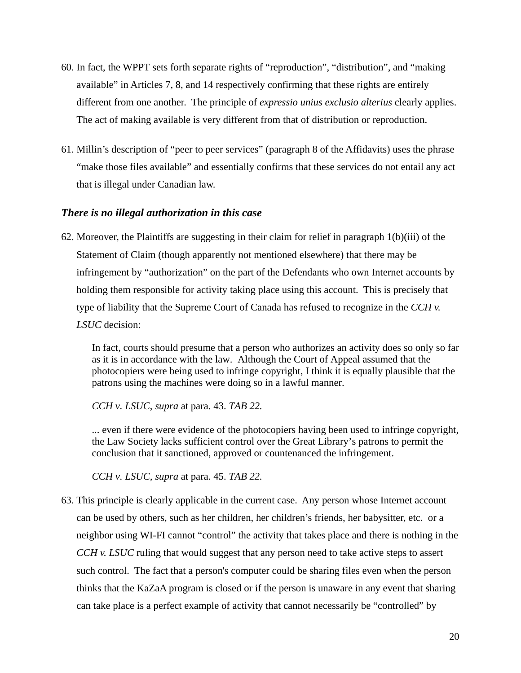- <span id="page-19-0"></span>60. In fact, the WPPT sets forth separate rights of "reproduction", "distribution", and "making available" in Articles 7, 8, and 14 respectively confirming that these rights are entirely different from one another. The principle of *expressio unius exclusio alterius* clearly applies. The act of making available is very different from that of distribution or reproduction.
- 61. Millin's description of "peer to peer services" (paragraph 8 of the Affidavits) uses the phrase "make those files available" and essentially confirms that these services do not entail any act that is illegal under Canadian law.

### *There is no illegal authorization in this case*

62. Moreover, the Plaintiffs are suggesting in their claim for relief in paragraph  $1(b)(iii)$  of the Statement of Claim (though apparently not mentioned elsewhere) that there may be infringement by "authorization" on the part of the Defendants who own Internet accounts by holding them responsible for activity taking place using this account. This is precisely that type of liability that the Supreme Court of Canada has refused to recognize in the *CCH v. LSUC* decision:

In fact, courts should presume that a person who authorizes an activity does so only so far as it is in accordance with the law. Although the Court of Appeal assumed that the photocopiers were being used to infringe copyright, I think it is equally plausible that the patrons using the machines were doing so in a lawful manner.

*CCH v. LSUC*, *supra* at para. 43. *TAB 22.*

... even if there were evidence of the photocopiers having been used to infringe copyright, the Law Society lacks sufficient control over the Great Library's patrons to permit the conclusion that it sanctioned, approved or countenanced the infringement.

*CCH v. LSUC, supra* at para. 45. *TAB 22.*

63. This principle is clearly applicable in the current case. Any person whose Internet account can be used by others, such as her children, her children's friends, her babysitter, etc. or a neighbor using WI-FI cannot "control" the activity that takes place and there is nothing in the *CCH v. LSUC* ruling that would suggest that any person need to take active steps to assert such control. The fact that a person's computer could be sharing files even when the person thinks that the KaZaA program is closed or if the person is unaware in any event that sharing can take place is a perfect example of activity that cannot necessarily be "controlled" by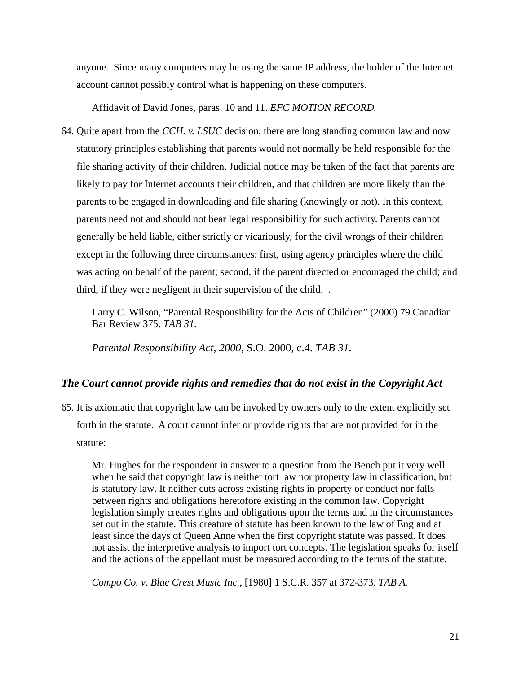<span id="page-20-0"></span>anyone. Since many computers may be using the same IP address, the holder of the Internet account cannot possibly control what is happening on these computers.

Affidavit of David Jones, paras. 10 and 11. *EFC MOTION RECORD.*

64. Quite apart from the *CCH. v. LSUC* decision, there are long standing common law and now statutory principles establishing that parents would not normally be held responsible for the file sharing activity of their children. Judicial notice may be taken of the fact that parents are likely to pay for Internet accounts their children, and that children are more likely than the parents to be engaged in downloading and file sharing (knowingly or not). In this context, parents need not and should not bear legal responsibility for such activity. Parents cannot generally be held liable, either strictly or vicariously, for the civil wrongs of their children except in the following three circumstances: first, using agency principles where the child was acting on behalf of the parent; second, if the parent directed or encouraged the child; and third, if they were negligent in their supervision of the child. .

Larry C. Wilson, "Parental Responsibility for the Acts of Children" (2000) 79 Canadian Bar Review 375. *TAB 31.*

*Parental Responsibility Act, 2000*, S.O. 2000, c.4. *TAB 31.* 

### *The Court cannot provide rights and remedies that do not exist in the Copyright Act*

65. It is axiomatic that copyright law can be invoked by owners only to the extent explicitly set forth in the statute. A court cannot infer or provide rights that are not provided for in the statute:

Mr. Hughes for the respondent in answer to a question from the Bench put it very well when he said that copyright law is neither tort law nor property law in classification, but is statutory law. It neither cuts across existing rights in property or conduct nor falls between rights and obligations heretofore existing in the common law. Copyright legislation simply creates rights and obligations upon the terms and in the circumstances set out in the statute. This creature of statute has been known to the law of England at least since the days of Queen Anne when the first copyright statute was passed. It does not assist the interpretive analysis to import tort concepts. The legislation speaks for itself and the actions of the appellant must be measured according to the terms of the statute.

*Compo Co. v. Blue Crest Music Inc.*, [1980] 1 S.C.R. 357 at 372-373. *TAB A.*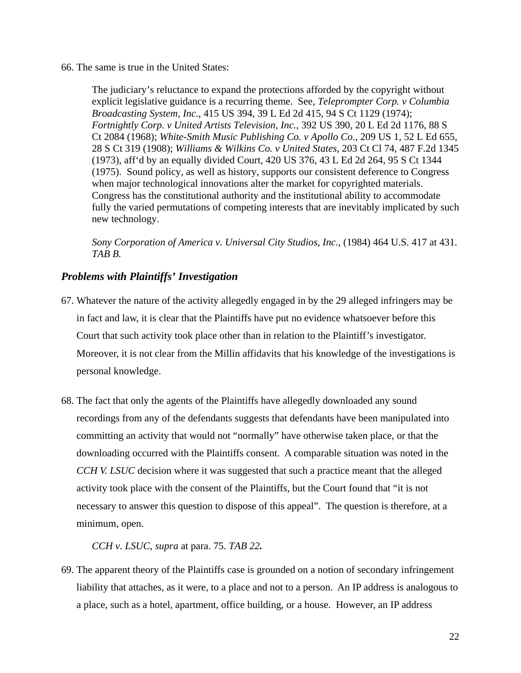<span id="page-21-0"></span>66. The same is true in the United States:

The judiciary's reluctance to expand the protections afforded by the copyright without explicit legislative guidance is a recurring theme. See, *Teleprompter Corp. v Columbia Broadcasting System, Inc.*, 415 US 394, 39 L Ed 2d 415, 94 S Ct 1129 (1974); *Fortnightly Corp. v United Artists Television, Inc.*, 392 US 390, 20 L Ed 2d 1176, 88 S Ct 2084 (1968); *White-Smith Music Publishing Co. v Apollo Co*., 209 US 1, 52 L Ed 655, 28 S Ct 319 (1908); *Williams & Wilkins Co. v United States*, 203 Ct Cl 74, 487 F.2d 1345 (1973), aff'd by an equally divided Court, 420 US 376, 43 L Ed 2d 264, 95 S Ct 1344 (1975). Sound policy, as well as history, supports our consistent deference to Congress when major technological innovations alter the market for copyrighted materials. Congress has the constitutional authority and the institutional ability to accommodate fully the varied permutations of competing interests that are inevitably implicated by such new technology.

*Sony Corporation of America v. Universal City Studios, Inc.,* (1984) 464 U.S. 417 at 431. *TAB B.*

## *Problems with Plaintiffs' Investigation*

- 67. Whatever the nature of the activity allegedly engaged in by the 29 alleged infringers may be in fact and law, it is clear that the Plaintiffs have put no evidence whatsoever before this Court that such activity took place other than in relation to the Plaintiff's investigator. Moreover, it is not clear from the Millin affidavits that his knowledge of the investigations is personal knowledge.
- 68. The fact that only the agents of the Plaintiffs have allegedly downloaded any sound recordings from any of the defendants suggests that defendants have been manipulated into committing an activity that would not "normally" have otherwise taken place, or that the downloading occurred with the Plaintiffs consent. A comparable situation was noted in the *CCH V. LSUC* decision where it was suggested that such a practice meant that the alleged activity took place with the consent of the Plaintiffs, but the Court found that "it is not necessary to answer this question to dispose of this appeal". The question is therefore, at a minimum, open.

*CCH v. LSUC*, *supra* at para. 75. *TAB 22.*

69. The apparent theory of the Plaintiffs case is grounded on a notion of secondary infringement liability that attaches, as it were, to a place and not to a person. An IP address is analogous to a place, such as a hotel, apartment, office building, or a house. However, an IP address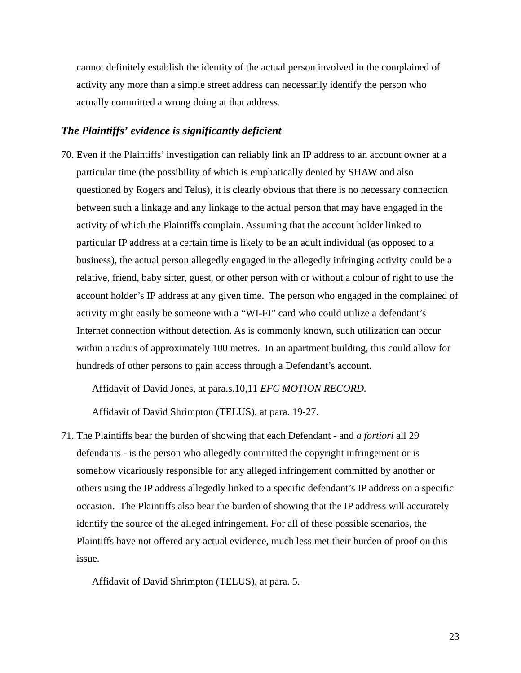<span id="page-22-0"></span>cannot definitely establish the identity of the actual person involved in the complained of activity any more than a simple street address can necessarily identify the person who actually committed a wrong doing at that address.

#### *The Plaintiffs' evidence is significantly deficient*

70. Even if the Plaintiffs' investigation can reliably link an IP address to an account owner at a particular time (the possibility of which is emphatically denied by SHAW and also questioned by Rogers and Telus), it is clearly obvious that there is no necessary connection between such a linkage and any linkage to the actual person that may have engaged in the activity of which the Plaintiffs complain. Assuming that the account holder linked to particular IP address at a certain time is likely to be an adult individual (as opposed to a business), the actual person allegedly engaged in the allegedly infringing activity could be a relative, friend, baby sitter, guest, or other person with or without a colour of right to use the account holder's IP address at any given time. The person who engaged in the complained of activity might easily be someone with a "WI-FI" card who could utilize a defendant's Internet connection without detection. As is commonly known, such utilization can occur within a radius of approximately 100 metres. In an apartment building, this could allow for hundreds of other persons to gain access through a Defendant's account.

Affidavit of David Jones, at para.s.10,11 *EFC MOTION RECORD.*

Affidavit of David Shrimpton (TELUS), at para. 19-27.

71. The Plaintiffs bear the burden of showing that each Defendant - and *a fortiori* all 29 defendants - is the person who allegedly committed the copyright infringement or is somehow vicariously responsible for any alleged infringement committed by another or others using the IP address allegedly linked to a specific defendant's IP address on a specific occasion. The Plaintiffs also bear the burden of showing that the IP address will accurately identify the source of the alleged infringement. For all of these possible scenarios, the Plaintiffs have not offered any actual evidence, much less met their burden of proof on this issue.

Affidavit of David Shrimpton (TELUS), at para. 5.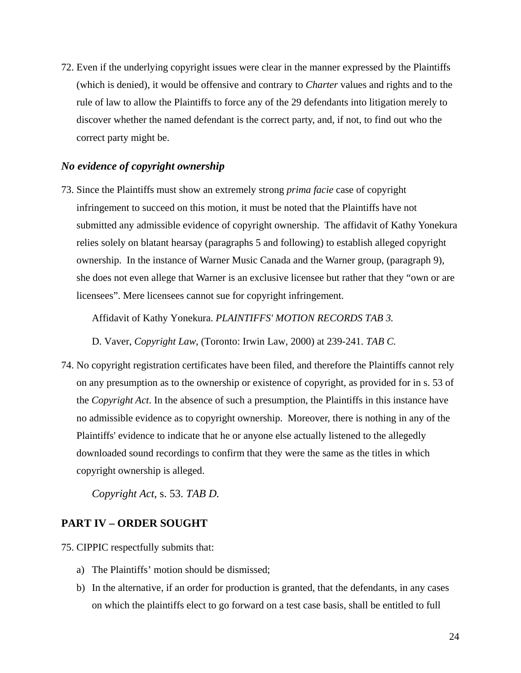<span id="page-23-0"></span>72. Even if the underlying copyright issues were clear in the manner expressed by the Plaintiffs (which is denied), it would be offensive and contrary to *Charter* values and rights and to the rule of law to allow the Plaintiffs to force any of the 29 defendants into litigation merely to discover whether the named defendant is the correct party, and, if not, to find out who the correct party might be.

#### *No evidence of copyright ownership*

73. Since the Plaintiffs must show an extremely strong *prima facie* case of copyright infringement to succeed on this motion, it must be noted that the Plaintiffs have not submitted any admissible evidence of copyright ownership. The affidavit of Kathy Yonekura relies solely on blatant hearsay (paragraphs 5 and following) to establish alleged copyright ownership. In the instance of Warner Music Canada and the Warner group, (paragraph 9), she does not even allege that Warner is an exclusive licensee but rather that they "own or are licensees". Mere licensees cannot sue for copyright infringement.

Affidavit of Kathy Yonekura. *PLAINTIFFS' MOTION RECORDS TAB 3.*

D. Vaver, *Copyright Law*, (Toronto: Irwin Law, 2000) at 239-241. *TAB C.*

74. No copyright registration certificates have been filed, and therefore the Plaintiffs cannot rely on any presumption as to the ownership or existence of copyright, as provided for in s. 53 of the *Copyright Act*. In the absence of such a presumption, the Plaintiffs in this instance have no admissible evidence as to copyright ownership. Moreover, there is nothing in any of the Plaintiffs' evidence to indicate that he or anyone else actually listened to the allegedly downloaded sound recordings to confirm that they were the same as the titles in which copyright ownership is alleged.

*Copyright Act*, s. 53. *TAB D.*

#### **PART IV – ORDER SOUGHT**

75. CIPPIC respectfully submits that:

- a) The Plaintiffs' motion should be dismissed;
- b) In the alternative, if an order for production is granted, that the defendants, in any cases on which the plaintiffs elect to go forward on a test case basis, shall be entitled to full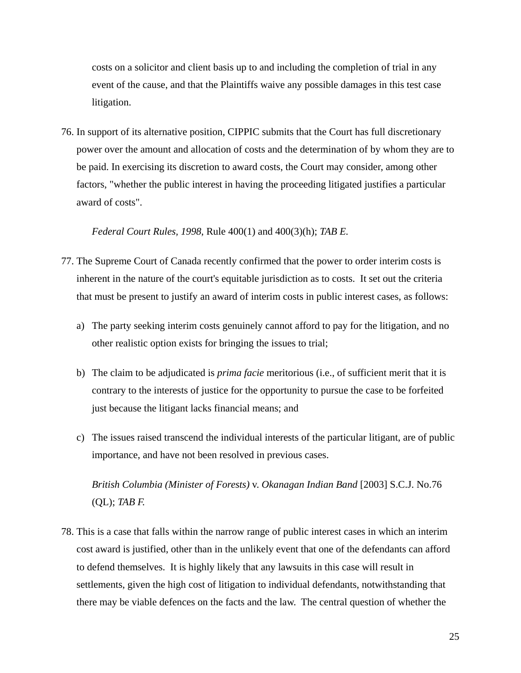costs on a solicitor and client basis up to and including the completion of trial in any event of the cause, and that the Plaintiffs waive any possible damages in this test case litigation.

76. In support of its alternative position, CIPPIC submits that the Court has full discretionary power over the amount and allocation of costs and the determination of by whom they are to be paid. In exercising its discretion to award costs, the Court may consider, among other factors, "whether the public interest in having the proceeding litigated justifies a particular award of costs".

*Federal Court Rules, 1998*, Rule 400(1) and 400(3)(h); *TAB E.*

- 77. The Supreme Court of Canada recently confirmed that the power to order interim costs is inherent in the nature of the court's equitable jurisdiction as to costs. It set out the criteria that must be present to justify an award of interim costs in public interest cases, as follows:
	- a) The party seeking interim costs genuinely cannot afford to pay for the litigation, and no other realistic option exists for bringing the issues to trial;
	- b) The claim to be adjudicated is *prima facie* meritorious (i.e., of sufficient merit that it is contrary to the interests of justice for the opportunity to pursue the case to be forfeited just because the litigant lacks financial means; and
	- c) The issues raised transcend the individual interests of the particular litigant, are of public importance, and have not been resolved in previous cases.

*British Columbia (Minister of Forests)* v. *Okanagan Indian Band* [2003] S.C.J. No.76 (QL); *TAB F.*

78. This is a case that falls within the narrow range of public interest cases in which an interim cost award is justified, other than in the unlikely event that one of the defendants can afford to defend themselves. It is highly likely that any lawsuits in this case will result in settlements, given the high cost of litigation to individual defendants, notwithstanding that there may be viable defences on the facts and the law. The central question of whether the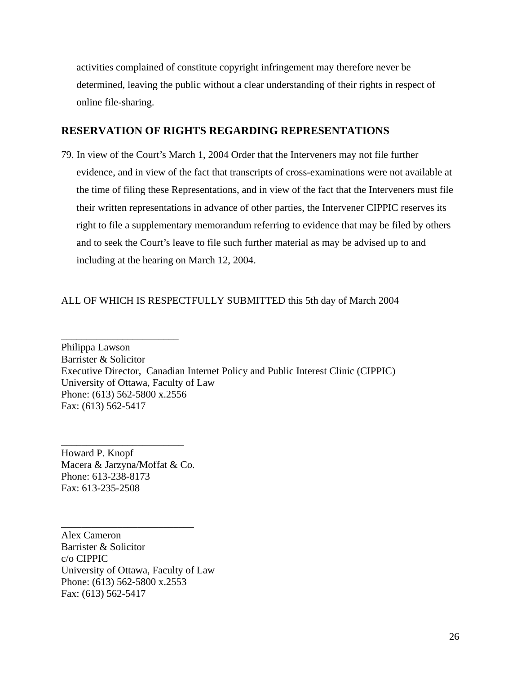<span id="page-25-0"></span>activities complained of constitute copyright infringement may therefore never be determined, leaving the public without a clear understanding of their rights in respect of online file-sharing.

#### **RESERVATION OF RIGHTS REGARDING REPRESENTATIONS**

79. In view of the Court's March 1, 2004 Order that the Interveners may not file further evidence, and in view of the fact that transcripts of cross-examinations were not available at the time of filing these Representations, and in view of the fact that the Interveners must file their written representations in advance of other parties, the Intervener CIPPIC reserves its right to file a supplementary memorandum referring to evidence that may be filed by others and to seek the Court's leave to file such further material as may be advised up to and including at the hearing on March 12, 2004.

#### ALL OF WHICH IS RESPECTFULLY SUBMITTED this 5th day of March 2004

Philippa Lawson Barrister & Solicitor Executive Director, Canadian Internet Policy and Public Interest Clinic (CIPPIC) University of Ottawa, Faculty of Law Phone: (613) 562-5800 x.2556 Fax: (613) 562-5417

Howard P. Knopf Macera & Jarzyna/Moffat & Co. Phone: 613-238-8173 Fax: 613-235-2508

\_\_\_\_\_\_\_\_\_\_\_\_\_\_\_\_\_\_\_\_\_\_\_\_\_\_

\_\_\_\_\_\_\_\_\_\_\_\_\_\_\_\_\_\_\_\_\_\_\_\_

\_\_\_\_\_\_\_\_\_\_\_\_\_\_\_\_\_\_\_\_\_\_\_

Alex Cameron Barrister & Solicitor c/o CIPPIC University of Ottawa, Faculty of Law Phone: (613) 562-5800 x.2553 Fax: (613) 562-5417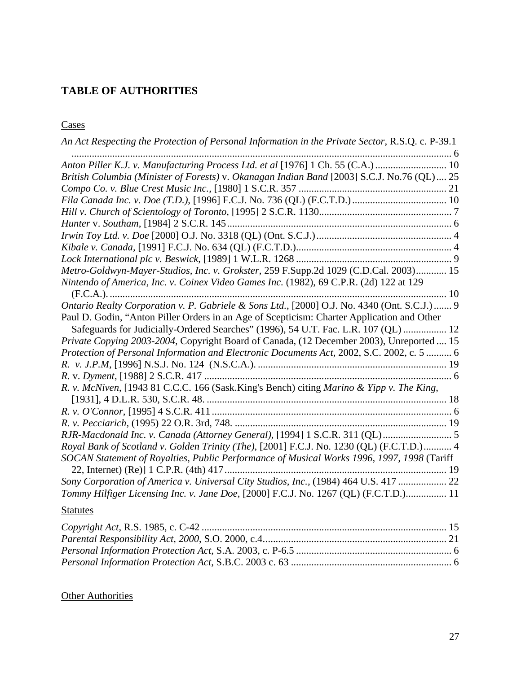# <span id="page-26-0"></span>**TABLE OF AUTHORITIES**

**Cases** 

| An Act Respecting the Protection of Personal Information in the Private Sector, R.S.Q. c. P-39.1 |
|--------------------------------------------------------------------------------------------------|
| Anton Piller K.J. v. Manufacturing Process Ltd. et al [1976] 1 Ch. 55 (C.A.)                     |
| British Columbia (Minister of Forests) v. Okanagan Indian Band [2003] S.C.J. No.76 (QL) 25       |
|                                                                                                  |
|                                                                                                  |
|                                                                                                  |
|                                                                                                  |
|                                                                                                  |
|                                                                                                  |
|                                                                                                  |
| Metro-Goldwyn-Mayer-Studios, Inc. v. Grokster, 259 F.Supp.2d 1029 (C.D.Cal. 2003) 15             |
| Nintendo of America, Inc. v. Coinex Video Games Inc. (1982), 69 C.P.R. (2d) 122 at 129           |
|                                                                                                  |
| Ontario Realty Corporation v. P. Gabriele & Sons Ltd., [2000] O.J. No. 4340 (Ont. S.C.J.)  9     |
| Paul D. Godin, "Anton Piller Orders in an Age of Scepticism: Charter Application and Other       |
| Safeguards for Judicially-Ordered Searches" (1996), 54 U.T. Fac. L.R. 107 (QL)  12               |
| Private Copying 2003-2004, Copyright Board of Canada, (12 December 2003), Unreported  15         |
| Protection of Personal Information and Electronic Documents Act, 2002, S.C. 2002, c. 5  6        |
|                                                                                                  |
|                                                                                                  |
| R. v. McNiven, [1943 81 C.C.C. 166 (Sask.King's Bench) citing Marino & Yipp v. The King,         |
|                                                                                                  |
|                                                                                                  |
|                                                                                                  |
| RJR-Macdonald Inc. v. Canada (Attorney General), [1994] 1 S.C.R. 311 (QL)  5                     |
| Royal Bank of Scotland v. Golden Trinity (The), [2001] F.C.J. No. 1230 (QL) (F.C.T.D.) 4         |
| SOCAN Statement of Royalties, Public Performance of Musical Works 1996, 1997, 1998 (Tariff       |
|                                                                                                  |
| Sony Corporation of America v. Universal City Studios, Inc., (1984) 464 U.S. 417  22             |
| Tommy Hilfiger Licensing Inc. v. Jane Doe, [2000] F.C.J. No. 1267 (QL) (F.C.T.D.) 11             |
| <b>Statutes</b>                                                                                  |

# **Other Authorities**